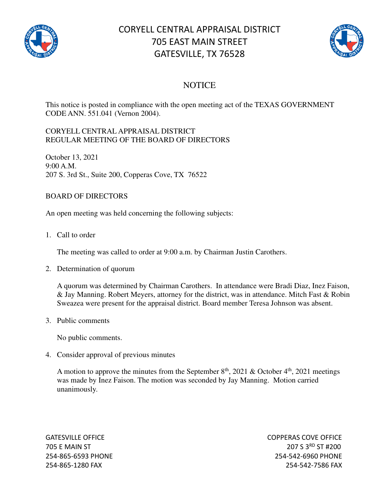

## CORYELL CENTRAL APPRAISAL DISTRICT 705 EAST MAIN STREET GATESVILLE, TX 76528



## **NOTICE**

This notice is posted in compliance with the open meeting act of the TEXAS GOVERNMENT CODE ANN. 551.041 (Vernon 2004).

## CORYELL CENTRAL APPRAISAL DISTRICT REGULAR MEETING OF THE BOARD OF DIRECTORS

October 13, 2021 9:00 A.M. 207 S. 3rd St., Suite 200, Copperas Cove, TX 76522

## BOARD OF DIRECTORS

An open meeting was held concerning the following subjects:

1. Call to order

The meeting was called to order at 9:00 a.m. by Chairman Justin Carothers.

2. Determination of quorum

A quorum was determined by Chairman Carothers. In attendance were Bradi Diaz, Inez Faison, & Jay Manning. Robert Meyers, attorney for the district, was in attendance. Mitch Fast & Robin Sweazea were present for the appraisal district. Board member Teresa Johnson was absent.

3. Public comments

No public comments.

4. Consider approval of previous minutes

A motion to approve the minutes from the September  $8<sup>th</sup>$ , 2021 & October  $4<sup>th</sup>$ , 2021 meetings was made by Inez Faison. The motion was seconded by Jay Manning. Motion carried unanimously.

GATESVILLE OFFICE **COPPERAS COVE OF EXAMPLE 2** 705 E MAIN ST 207 S 3RD ST #200 254-865-6593 PHONE 254-542-6960 PHONE 254-865-1280 FAX 254-542-7586 FAX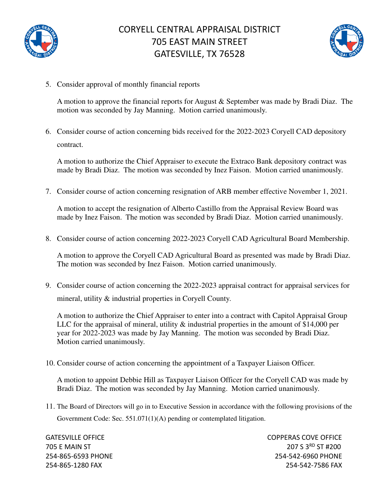



5. Consider approval of monthly financial reports

A motion to approve the financial reports for August & September was made by Bradi Diaz. The motion was seconded by Jay Manning. Motion carried unanimously.

6. Consider course of action concerning bids received for the 2022-2023 Coryell CAD depository contract.

A motion to authorize the Chief Appraiser to execute the Extraco Bank depository contract was made by Bradi Diaz. The motion was seconded by Inez Faison. Motion carried unanimously.

7. Consider course of action concerning resignation of ARB member effective November 1, 2021.

A motion to accept the resignation of Alberto Castillo from the Appraisal Review Board was made by Inez Faison. The motion was seconded by Bradi Diaz. Motion carried unanimously.

8. Consider course of action concerning 2022-2023 Coryell CAD Agricultural Board Membership.

A motion to approve the Coryell CAD Agricultural Board as presented was made by Bradi Diaz. The motion was seconded by Inez Faison. Motion carried unanimously.

9. Consider course of action concerning the 2022-2023 appraisal contract for appraisal services for mineral, utility & industrial properties in Coryell County.

A motion to authorize the Chief Appraiser to enter into a contract with Capitol Appraisal Group LLC for the appraisal of mineral, utility & industrial properties in the amount of \$14,000 per year for 2022-2023 was made by Jay Manning. The motion was seconded by Bradi Diaz. Motion carried unanimously.

10. Consider course of action concerning the appointment of a Taxpayer Liaison Officer.

A motion to appoint Debbie Hill as Taxpayer Liaison Officer for the Coryell CAD was made by Bradi Diaz. The motion was seconded by Jay Manning. Motion carried unanimously.

11. The Board of Directors will go in to Executive Session in accordance with the following provisions of the Government Code: Sec. 551.071(1)(A) pending or contemplated litigation.

GATESVILLE OFFICE **COPPERAS COVE OF EXAMPLE 2** 705 E MAIN ST 207 S 3RD ST #200 254-865-6593 PHONE 254-542-6960 PHONE 254-865-1280 FAX 254-542-7586 FAX